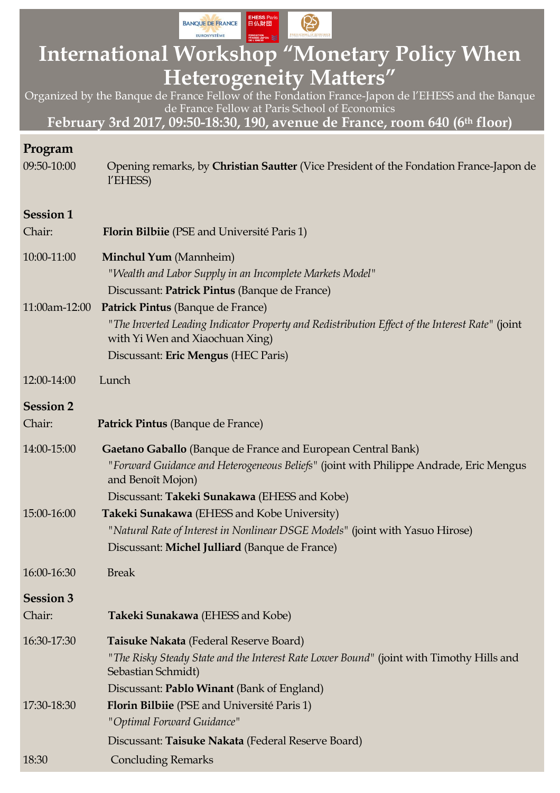

# **International Workshop "Monetary Policy When Heterogeneity Matters"**

Organized by the Banque de France Fellow of the Fondation France-Japon de l'EHESS and the Banque de France Fellow at Paris School of Economics

**February 3rd 2017, 09:50-18:30, 190, avenue de France, room 640 (6th floor)**

| Program                    |                                                                                                                                                                                                                             |
|----------------------------|-----------------------------------------------------------------------------------------------------------------------------------------------------------------------------------------------------------------------------|
| 09:50-10:00                | Opening remarks, by Christian Sautter (Vice President of the Fondation France-Japon de<br>l'EHESS)                                                                                                                          |
| <b>Session 1</b>           |                                                                                                                                                                                                                             |
| Chair:                     | <b>Florin Bilbiie</b> (PSE and Université Paris 1)                                                                                                                                                                          |
| 10:00-11:00                | <b>Minchul Yum</b> (Mannheim)<br>"Wealth and Labor Supply in an Incomplete Markets Model"<br>Discussant: Patrick Pintus (Banque de France)                                                                                  |
| 11:00am-12:00              | Patrick Pintus (Banque de France)<br>"The Inverted Leading Indicator Property and Redistribution Effect of the Interest Rate" (joint<br>with Yi Wen and Xiaochuan Xing)<br>Discussant: Eric Mengus (HEC Paris)              |
| 12:00-14:00                | Lunch                                                                                                                                                                                                                       |
| <b>Session 2</b><br>Chair: | Patrick Pintus (Banque de France)                                                                                                                                                                                           |
| 14:00-15:00                | Gaetano Gaballo (Banque de France and European Central Bank)<br>"Forward Guidance and Heterogeneous Beliefs" (joint with Philippe Andrade, Eric Mengus<br>and Benoît Mojon)<br>Discussant: Takeki Sunakawa (EHESS and Kobe) |
| 15:00-16:00                | Takeki Sunakawa (EHESS and Kobe University)<br>"Natural Rate of Interest in Nonlinear DSGE Models" (joint with Yasuo Hirose)<br>Discussant: Michel Julliard (Banque de France)                                              |
| 16:00-16:30                | <b>Break</b>                                                                                                                                                                                                                |
| <b>Session 3</b><br>Chair: | Takeki Sunakawa (EHESS and Kobe)                                                                                                                                                                                            |
| 16:30-17:30                | Taisuke Nakata (Federal Reserve Board)<br>"The Risky Steady State and the Interest Rate Lower Bound" (joint with Timothy Hills and<br>Sebastian Schmidt)<br>Discussant: Pablo Winant (Bank of England)                      |
| 17:30-18:30                | <b>Florin Bilbiie</b> (PSE and Université Paris 1)<br>"Optimal Forward Guidance"                                                                                                                                            |
| 18:30                      | Discussant: Taisuke Nakata (Federal Reserve Board)<br><b>Concluding Remarks</b>                                                                                                                                             |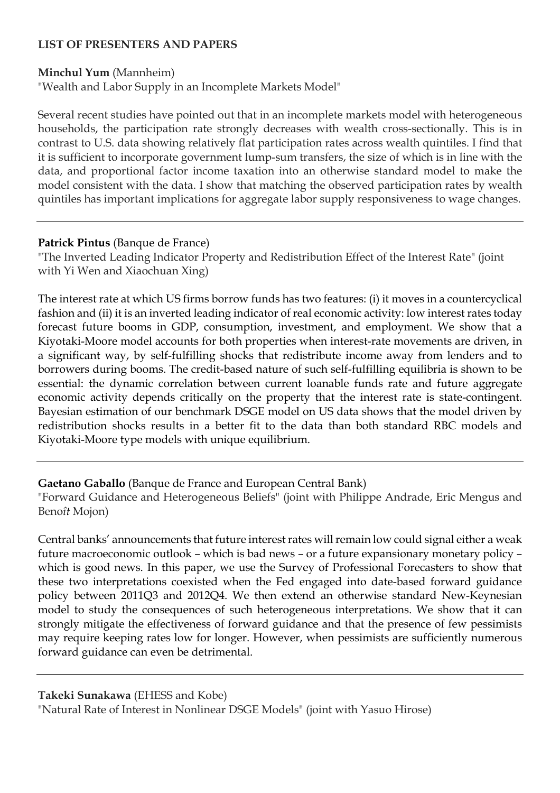## **LIST OF PRESENTERS AND PAPERS**

#### **Minchul Yum** (Mannheim)

"Wealth and Labor Supply in an Incomplete Markets Model"

Several recent studies have pointed out that in an incomplete markets model with heterogeneous households, the participation rate strongly decreases with wealth cross-sectionally. This is in contrast to U.S. data showing relatively flat participation rates across wealth quintiles. I find that it is sufficient to incorporate government lump-sum transfers, the size of which is in line with the data, and proportional factor income taxation into an otherwise standard model to make the model consistent with the data. I show that matching the observed participation rates by wealth quintiles has important implications for aggregate labor supply responsiveness to wage changes.

### **Patrick Pintus** (Banque de France)

"The Inverted Leading Indicator Property and Redistribution Effect of the Interest Rate" (joint with Yi Wen and Xiaochuan Xing)

The interest rate at which US firms borrow funds has two features: (i) it moves in a countercyclical fashion and (ii) it is an inverted leading indicator of real economic activity: low interest rates today forecast future booms in GDP, consumption, investment, and employment. We show that a Kiyotaki-Moore model accounts for both properties when interest-rate movements are driven, in a significant way, by self-fulfilling shocks that redistribute income away from lenders and to borrowers during booms. The credit-based nature of such self-fulfilling equilibria is shown to be essential: the dynamic correlation between current loanable funds rate and future aggregate economic activity depends critically on the property that the interest rate is state-contingent. Bayesian estimation of our benchmark DSGE model on US data shows that the model driven by redistribution shocks results in a better fit to the data than both standard RBC models and Kiyotaki-Moore type models with unique equilibrium.

## **Gaetano Gaballo** (Banque de France and European Central Bank)

"Forward Guidance and Heterogeneous Beliefs" (joint with Philippe Andrade, Eric Mengus and Beno*ît* Mojon)

Central banks' announcements that future interest rates will remain low could signal either a weak future macroeconomic outlook – which is bad news – or a future expansionary monetary policy – which is good news. In this paper, we use the Survey of Professional Forecasters to show that these two interpretations coexisted when the Fed engaged into date-based forward guidance policy between 2011Q3 and 2012Q4. We then extend an otherwise standard New-Keynesian model to study the consequences of such heterogeneous interpretations. We show that it can strongly mitigate the effectiveness of forward guidance and that the presence of few pessimists may require keeping rates low for longer. However, when pessimists are sufficiently numerous forward guidance can even be detrimental.

#### **Takeki Sunakawa** (EHESS and Kobe)

"Natural Rate of Interest in Nonlinear DSGE Models" (joint with Yasuo Hirose)